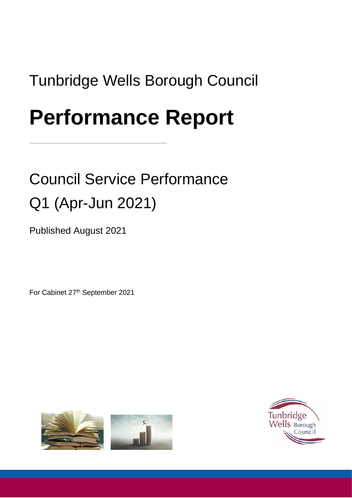# Tunbridge Wells Borough Council

# **Performance Report**

# Council Service Performance Q1 (Apr-Jun 2021)

Published August 2021

For Cabinet 27th September 2021



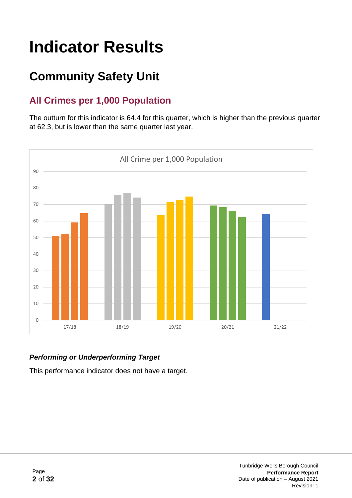# **Indicator Results**

## **Community Safety Unit**

## **All Crimes per 1,000 Population**

The outturn for this indicator is 64.4 for this quarter, which is higher than the previous quarter at 62.3, but is lower than the same quarter last year.



#### *Performing or Underperforming Target*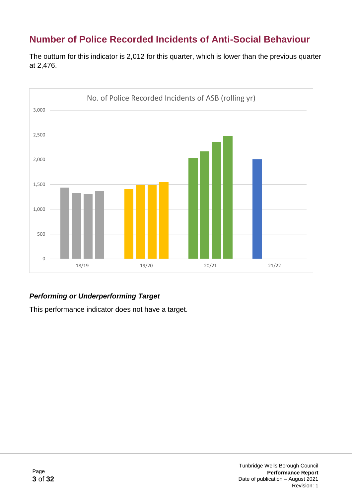## **Number of Police Recorded Incidents of Anti-Social Behaviour**

The outturn for this indicator is 2,012 for this quarter, which is lower than the previous quarter at 2,476.



#### *Performing or Underperforming Target*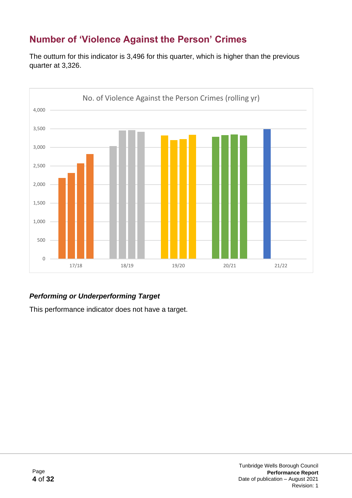## **Number of 'Violence Against the Person' Crimes**

The outturn for this indicator is 3,496 for this quarter, which is higher than the previous quarter at 3,326.



#### *Performing or Underperforming Target*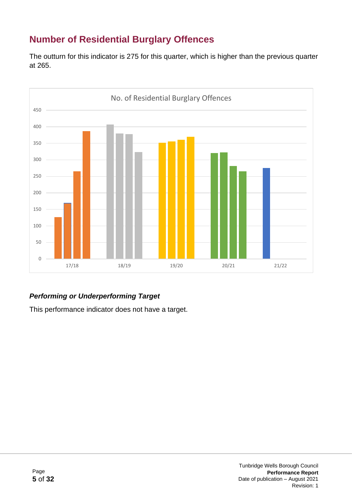## **Number of Residential Burglary Offences**

The outturn for this indicator is 275 for this quarter, which is higher than the previous quarter at 265.



#### *Performing or Underperforming Target*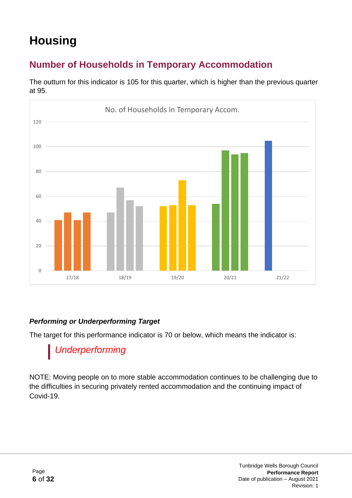## **Housing**

## **Number of Households in Temporary Accommodation**



The outturn for this indicator is 105 for this quarter, which is higher than the previous quarter at 95.

#### *Performing or Underperforming Target*

The target for this performance indicator is 70 or below, which means the indicator is:

## *Underperforming*

NOTE: Moving people on to more stable accommodation continues to be challenging due to the difficulties in securing privately rented accommodation and the continuing impact of Covid-19.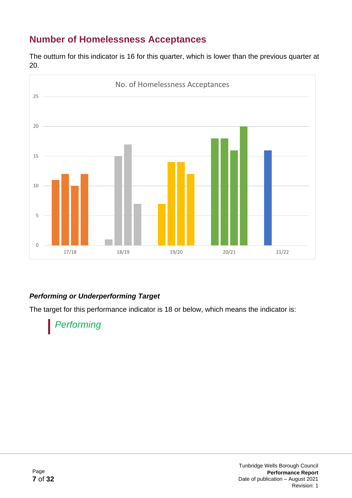## **Number of Homelessness Acceptances**

The outturn for this indicator is 16 for this quarter, which is lower than the previous quarter at 20.



#### *Performing or Underperforming Target*

The target for this performance indicator is 18 or below, which means the indicator is:

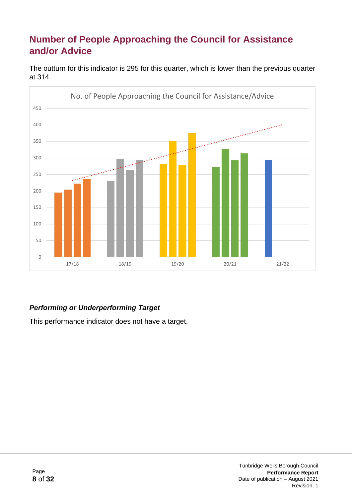### **Number of People Approaching the Council for Assistance and/or Advice**



The outturn for this indicator is 295 for this quarter, which is lower than the previous quarter at 314.

#### *Performing or Underperforming Target*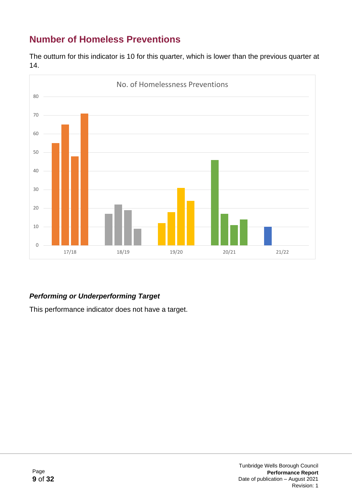## **Number of Homeless Preventions**

The outturn for this indicator is 10 for this quarter, which is lower than the previous quarter at 14.



#### *Performing or Underperforming Target*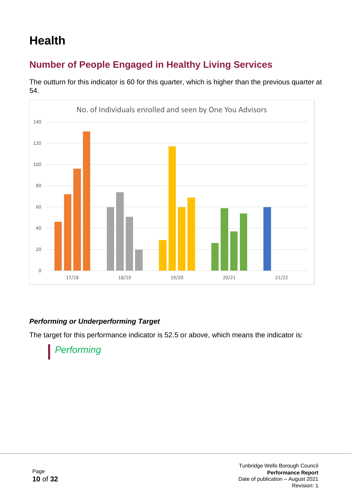## **Health**

## **Number of People Engaged in Healthy Living Services**

0 20 40 60 80 100 120 140 17/18 18/19 19/20 20/21 21/22 No. of Individuals enrolled and seen by One You Advisors

The outturn for this indicator is 60 for this quarter, which is higher than the previous quarter at 54.

#### *Performing or Underperforming Target*

The target for this performance indicator is 52.5 or above, which means the indicator is:

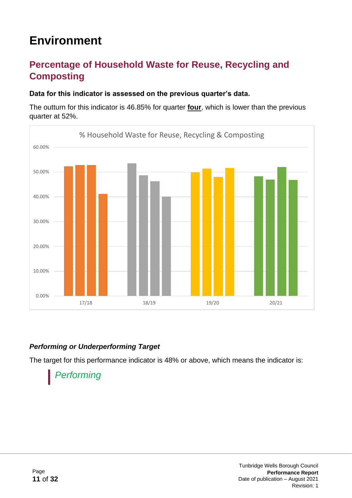## **Environment**

### **Percentage of Household Waste for Reuse, Recycling and Composting**

#### **Data for this indicator is assessed on the previous quarter's data.**

The outturn for this indicator is 46.85% for quarter **four**, which is lower than the previous quarter at 52%.



#### *Performing or Underperforming Target*

The target for this performance indicator is 48% or above, which means the indicator is:

## *Performing*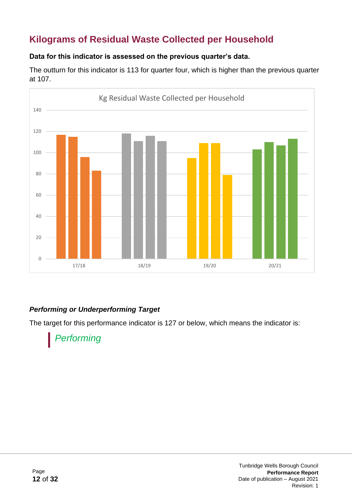## **Kilograms of Residual Waste Collected per Household**

#### **Data for this indicator is assessed on the previous quarter's data.**

The outturn for this indicator is 113 for quarter four, which is higher than the previous quarter at 107.



#### *Performing or Underperforming Target*

The target for this performance indicator is 127 or below, which means the indicator is:

## *Performing*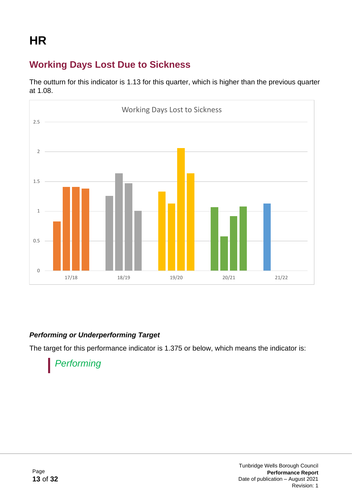## **Working Days Lost Due to Sickness**

The outturn for this indicator is 1.13 for this quarter, which is higher than the previous quarter at 1.08.



#### *Performing or Underperforming Target*

The target for this performance indicator is 1.375 or below, which means the indicator is:

## *Performing*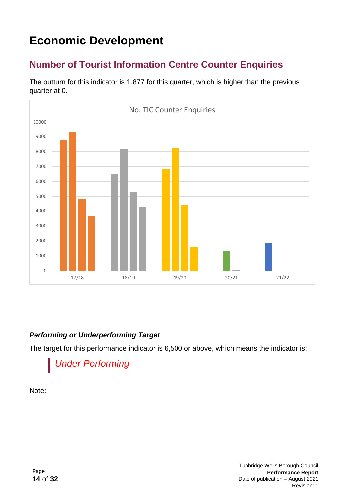## **Economic Development**

## **Number of Tourist Information Centre Counter Enquiries**

The outturn for this indicator is 1,877 for this quarter, which is higher than the previous quarter at 0.



#### *Performing or Underperforming Target*

The target for this performance indicator is 6,500 or above, which means the indicator is:

## *Under Performing*

Note: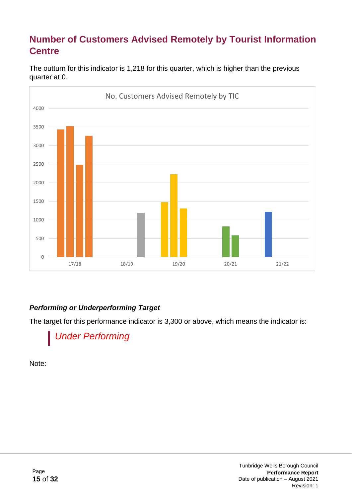## **Number of Customers Advised Remotely by Tourist Information Centre**



The outturn for this indicator is 1,218 for this quarter, which is higher than the previous quarter at 0.

#### *Performing or Underperforming Target*

The target for this performance indicator is 3,300 or above, which means the indicator is:



Note: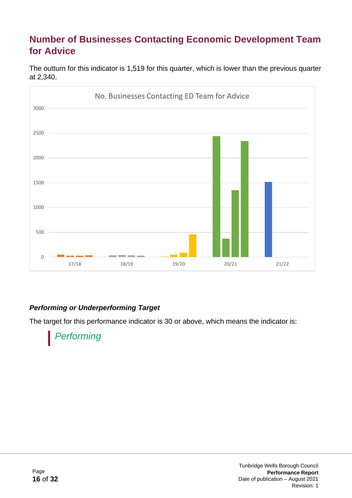### **Number of Businesses Contacting Economic Development Team for Advice**

The outturn for this indicator is 1,519 for this quarter, which is lower than the previous quarter at 2,340.



#### *Performing or Underperforming Target*

The target for this performance indicator is 30 or above, which means the indicator is:

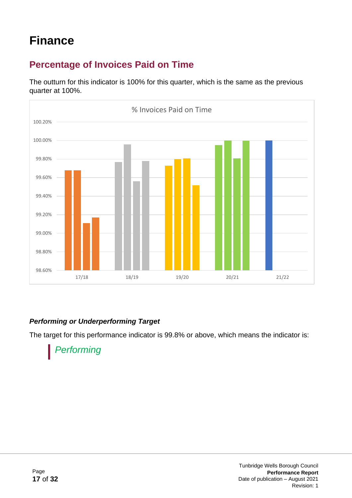## **Finance**

## **Percentage of Invoices Paid on Time**

The outturn for this indicator is 100% for this quarter, which is the same as the previous quarter at 100%.



#### *Performing or Underperforming Target*

The target for this performance indicator is 99.8% or above, which means the indicator is:

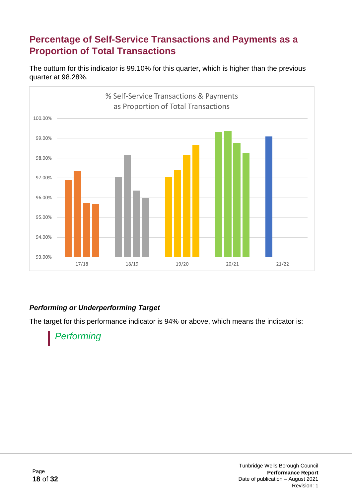### **Percentage of Self-Service Transactions and Payments as a Proportion of Total Transactions**

The outturn for this indicator is 99.10% for this quarter, which is higher than the previous quarter at 98.28%.



#### *Performing or Underperforming Target*

The target for this performance indicator is 94% or above, which means the indicator is:

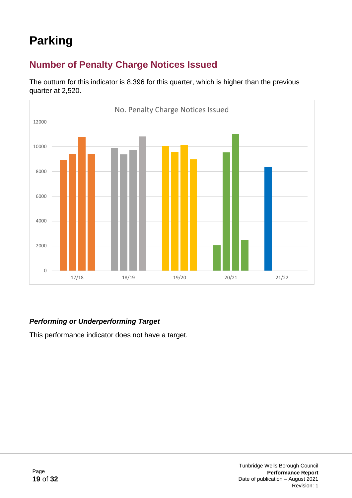## **Parking**

## **Number of Penalty Charge Notices Issued**

The outturn for this indicator is 8,396 for this quarter, which is higher than the previous quarter at 2,520.



#### *Performing or Underperforming Target*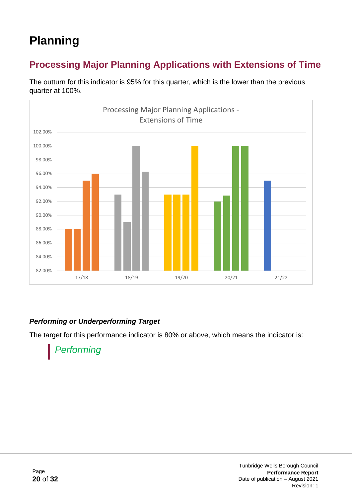## **Planning**

## **Processing Major Planning Applications with Extensions of Time**



The outturn for this indicator is 95% for this quarter, which is the lower than the previous quarter at 100%.

#### *Performing or Underperforming Target*

The target for this performance indicator is 80% or above, which means the indicator is:

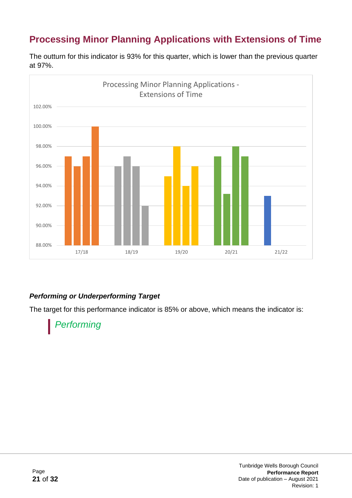## **Processing Minor Planning Applications with Extensions of Time**



The outturn for this indicator is 93% for this quarter, which is lower than the previous quarter at 97%.

#### *Performing or Underperforming Target*

The target for this performance indicator is 85% or above, which means the indicator is:



Tunbridge Wells Borough Council **Performance Report** Date of publication – August 2021 Revision: 1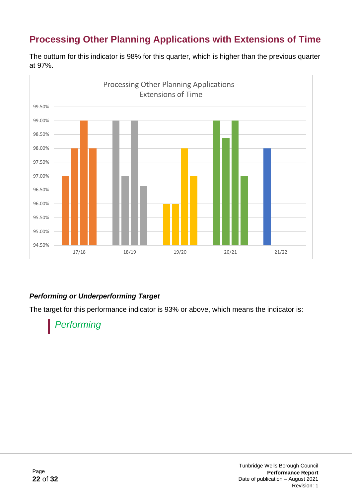## **Processing Other Planning Applications with Extensions of Time**



The outturn for this indicator is 98% for this quarter, which is higher than the previous quarter at 97%.

#### *Performing or Underperforming Target*

The target for this performance indicator is 93% or above, which means the indicator is:

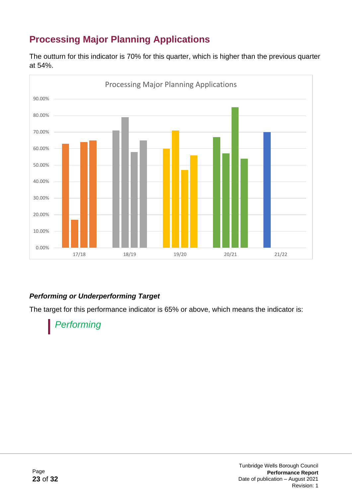## **Processing Major Planning Applications**

The outturn for this indicator is 70% for this quarter, which is higher than the previous quarter at 54%.



#### *Performing or Underperforming Target*

The target for this performance indicator is 65% or above, which means the indicator is:



Tunbridge Wells Borough Council **Performance Report** Date of publication – August 2021 Revision: 1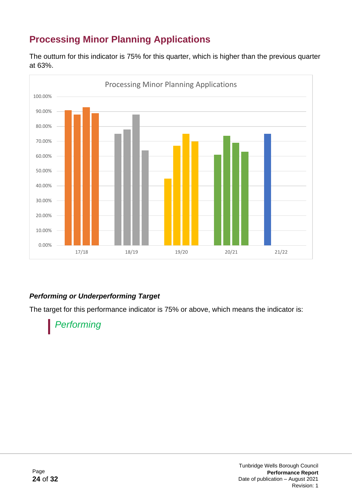## **Processing Minor Planning Applications**

The outturn for this indicator is 75% for this quarter, which is higher than the previous quarter at 63%.



#### *Performing or Underperforming Target*

The target for this performance indicator is 75% or above, which means the indicator is:



Tunbridge Wells Borough Council **Performance Report** Date of publication – August 2021 Revision: 1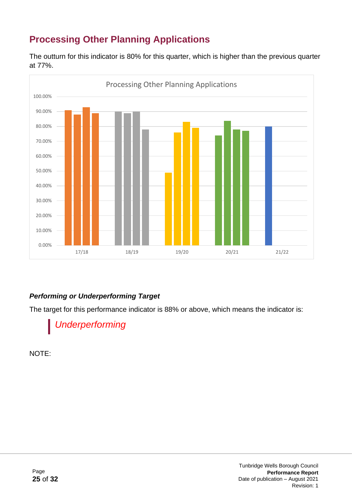## **Processing Other Planning Applications**

The outturn for this indicator is 80% for this quarter, which is higher than the previous quarter at 77%.



#### *Performing or Underperforming Target*

The target for this performance indicator is 88% or above, which means the indicator is:

*Underperforming*

NOTE: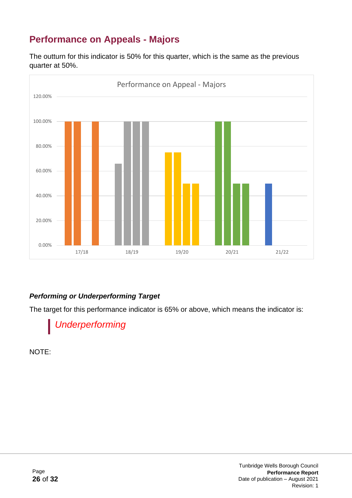## **Performance on Appeals - Majors**

The outturn for this indicator is 50% for this quarter, which is the same as the previous quarter at 50%.



#### *Performing or Underperforming Target*

The target for this performance indicator is 65% or above, which means the indicator is:

*Underperforming*

NOTE: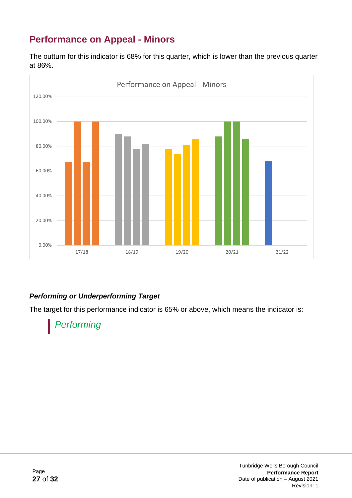## **Performance on Appeal - Minors**

The outturn for this indicator is 68% for this quarter, which is lower than the previous quarter at 86%.



#### *Performing or Underperforming Target*

The target for this performance indicator is 65% or above, which means the indicator is:

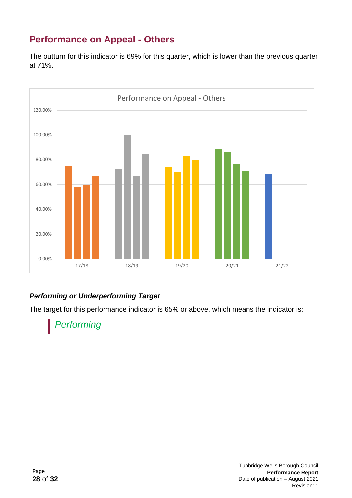## **Performance on Appeal - Others**

The outturn for this indicator is 69% for this quarter, which is lower than the previous quarter at 71%.



#### *Performing or Underperforming Target*

The target for this performance indicator is 65% or above, which means the indicator is:

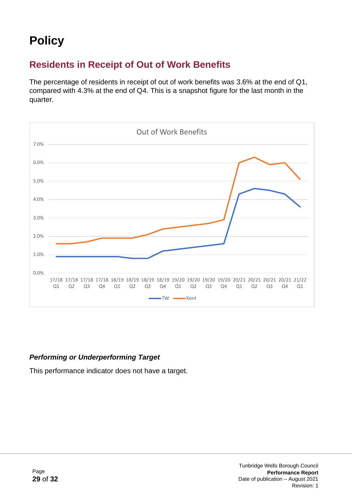## **Policy**

### **Residents in Receipt of Out of Work Benefits**

The percentage of residents in receipt of out of work benefits was 3.6% at the end of Q1, compared with 4.3% at the end of Q4. This is a snapshot figure for the last month in the quarter.



#### *Performing or Underperforming Target*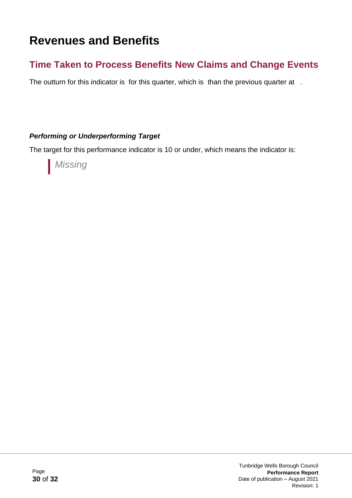## **Revenues and Benefits**

### **Time Taken to Process Benefits New Claims and Change Events**

The outturn for this indicator is for this quarter, which is than the previous quarter at .

#### *Performing or Underperforming Target*

The target for this performance indicator is 10 or under, which means the indicator is:

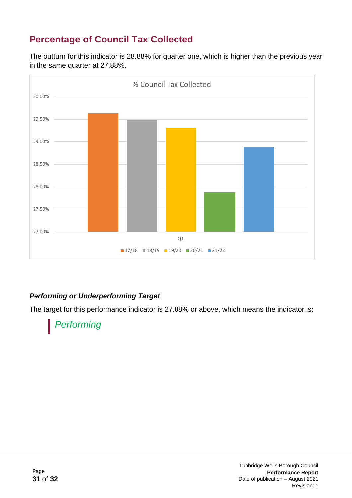## **Percentage of Council Tax Collected**

The outturn for this indicator is 28.88% for quarter one, which is higher than the previous year in the same quarter at 27.88%.



#### *Performing or Underperforming Target*

The target for this performance indicator is 27.88% or above, which means the indicator is: